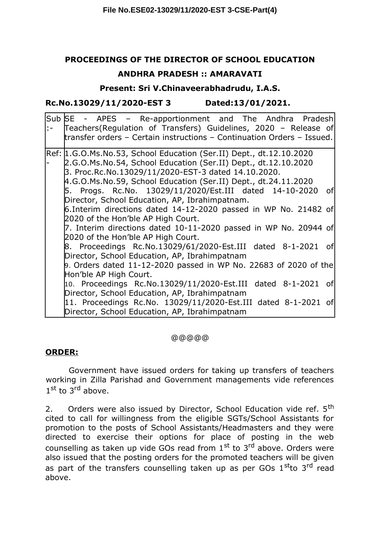## **PROCEEDINGS OF THE DIRECTOR OF SCHOOL EDUCATION**

### **ANDHRA PRADESH :: AMARAVATI**

**Present: Sri V.Chinaveerabhadrudu, I.A.S.**

**Rc.No.13029/11/2020-EST 3 Dated:13/01/2021.**

| Sub SE - APES - Re-apportionment and The Andhra Pradesh<br>:- Teachers(Regulation of Transfers) Guidelines, 2020 - Release of<br>transfer orders - Certain instructions - Continuation Orders - Issued.                                                        |
|----------------------------------------------------------------------------------------------------------------------------------------------------------------------------------------------------------------------------------------------------------------|
| Ref: 1.G.O.Ms.No.53, School Education (Ser.II) Dept., dt.12.10.2020<br>2.G.O.Ms.No.54, School Education (Ser.II) Dept., dt.12.10.2020<br>3. Proc.Rc.No.13029/11/2020-EST-3 dated 14.10.2020.<br>4.G.O.Ms.No.59, School Education (Ser.II) Dept., dt.24.11.2020 |
| 5. Progs. Rc.No. 13029/11/2020/Est.III dated 14-10-2020 of<br>Director, School Education, AP, Ibrahimpatnam.                                                                                                                                                   |
| 6. Interim directions dated 14-12-2020 passed in WP No. 21482 of<br>2020 of the Hon'ble AP High Court.                                                                                                                                                         |
| 7. Interim directions dated 10-11-2020 passed in WP No. 20944 of<br>2020 of the Hon'ble AP High Court.                                                                                                                                                         |
| 8. Proceedings Rc.No.13029/61/2020-Est.III dated 8-1-2021 of<br>Director, School Education, AP, Ibrahimpatnam                                                                                                                                                  |
| 9. Orders dated 11-12-2020 passed in WP No. 22683 of 2020 of the<br>Hon'ble AP High Court.                                                                                                                                                                     |
| 10. Proceedings Rc.No.13029/11/2020-Est.III dated 8-1-2021 of<br>Director, School Education, AP, Ibrahimpatnam                                                                                                                                                 |
| 11. Proceedings Rc.No. 13029/11/2020-Est.III dated 8-1-2021 of<br>Director, School Education, AP, Ibrahimpatnam                                                                                                                                                |

@@@@@

### **ORDER:**

Government have issued orders for taking up transfers of teachers working in Zilla Parishad and Government managements vide references 1<sup>st</sup> to 3<sup>rd</sup> above.

2. Orders were also issued by Director, School Education vide ref. 5<sup>th</sup> cited to call for willingness from the eligible SGTs/School Assistants for promotion to the posts of School Assistants/Headmasters and they were directed to exercise their options for place of posting in the web counselling as taken up vide GOs read from  $1<sup>st</sup>$  to  $3<sup>rd</sup>$  above. Orders were also issued that the posting orders for the promoted teachers will be given as part of the transfers counselling taken up as per GOs  $1<sup>st</sup>$ to  $3<sup>rd</sup>$  read above.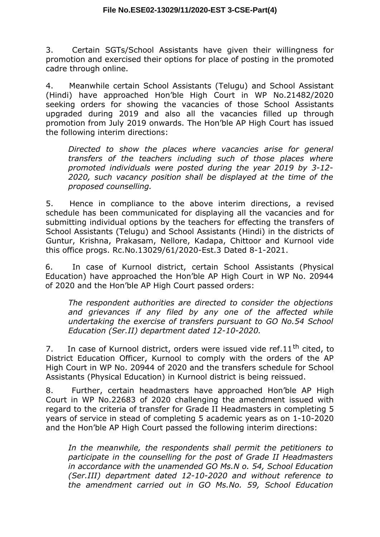3. Certain SGTs/School Assistants have given their willingness for promotion and exercised their options for place of posting in the promoted cadre through online.

4. Meanwhile certain School Assistants (Telugu) and School Assistant (Hindi) have approached Hon'ble High Court in WP No.21482/2020 seeking orders for showing the vacancies of those School Assistants upgraded during 2019 and also all the vacancies filled up through promotion from July 2019 onwards. The Hon'ble AP High Court has issued the following interim directions:

*Directed to show the places where vacancies arise for general transfers of the teachers including such of those places where promoted individuals were posted during the year 2019 by 3-12- 2020, such vacancy position shall be displayed at the time of the proposed counselling.*

5. Hence in compliance to the above interim directions, a revised schedule has been communicated for displaying all the vacancies and for submitting individual options by the teachers for effecting the transfers of School Assistants (Telugu) and School Assistants (Hindi) in the districts of Guntur, Krishna, Prakasam, Nellore, Kadapa, Chittoor and Kurnool vide this office progs. Rc.No.13029/61/2020-Est.3 Dated 8-1-2021.

6. In case of Kurnool district, certain School Assistants (Physical Education) have approached the Hon'ble AP High Court in WP No. 20944 of 2020 and the Hon'ble AP High Court passed orders:

*The respondent authorities are directed to consider the objections and grievances if any filed by any one of the affected while undertaking the exercise of transfers pursuant to GO No.54 School Education (Ser.II) department dated 12-10-2020.*

7. In case of Kurnool district, orders were issued vide ref. $11<sup>th</sup>$  cited, to District Education Officer, Kurnool to comply with the orders of the AP High Court in WP No. 20944 of 2020 and the transfers schedule for School Assistants (Physical Education) in Kurnool district is being reissued.

8. Further, certain headmasters have approached Hon'ble AP High Court in WP No.22683 of 2020 challenging the amendment issued with regard to the criteria of transfer for Grade II Headmasters in completing 5 years of service in stead of completing 5 academic years as on 1-10-2020 and the Hon'ble AP High Court passed the following interim directions:

*In the meanwhile, the respondents shall permit the petitioners to participate in the counselling for the post of Grade II Headmasters in accordance with the unamended GO Ms.N o. 54, School Education (Ser.III) department dated 12-10-2020 and without reference to the amendment carried out in GO Ms.No. 59, School Education*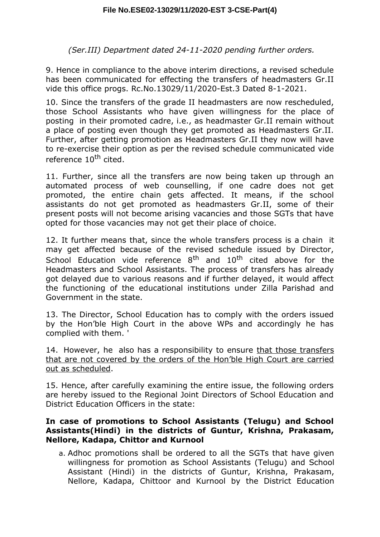*(Ser.III) Department dated 24-11-2020 pending further orders.*

9. Hence in compliance to the above interim directions, a revised schedule has been communicated for effecting the transfers of headmasters Gr.II vide this office progs. Rc.No.13029/11/2020-Est.3 Dated 8-1-2021.

10. Since the transfers of the grade II headmasters are now rescheduled, those School Assistants who have given willingness for the place of posting in their promoted cadre, i.e., as headmaster Gr.II remain without a place of posting even though they get promoted as Headmasters Gr.II. Further, after getting promotion as Headmasters Gr.II they now will have to re-exercise their option as per the revised schedule communicated vide reference 10<sup>th</sup> cited.

11. Further, since all the transfers are now being taken up through an automated process of web counselling, if one cadre does not get promoted, the entire chain gets affected. It means, if the school assistants do not get promoted as headmasters Gr.II, some of their present posts will not become arising vacancies and those SGTs that have opted for those vacancies may not get their place of choice.

12. It further means that, since the whole transfers process is a chain it may get affected because of the revised schedule issued by Director, School Education vide reference  $8<sup>th</sup>$  and  $10<sup>th</sup>$  cited above for the Headmasters and School Assistants. The process of transfers has already got delayed due to various reasons and if further delayed, it would affect the functioning of the educational institutions under Zilla Parishad and Government in the state.

13. The Director, School Education has to comply with the orders issued by the Hon'ble High Court in the above WPs and accordingly he has complied with them. '

14. However, he also has a responsibility to ensure that those transfers that are not covered by the orders of the Hon'ble High Court are carried out as scheduled.

15. Hence, after carefully examining the entire issue, the following orders are hereby issued to the Regional Joint Directors of School Education and District Education Officers in the state:

#### **In case of promotions to School Assistants (Telugu) and School Assistants(Hindi) in the districts of Guntur, Krishna, Prakasam, Nellore, Kadapa, Chittor and Kurnool**

a. Adhoc promotions shall be ordered to all the SGTs that have given willingness for promotion as School Assistants (Telugu) and School Assistant (Hindi) in the districts of Guntur, Krishna, Prakasam, Nellore, Kadapa, Chittoor and Kurnool by the District Education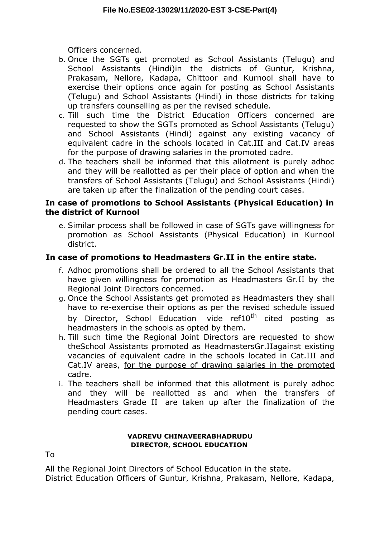Officers concerned.

- b. Once the SGTs get promoted as School Assistants (Telugu) and School Assistants (Hindi)in the districts of Guntur, Krishna, Prakasam, Nellore, Kadapa, Chittoor and Kurnool shall have to exercise their options once again for posting as School Assistants (Telugu) and School Assistants (Hindi) in those districts for taking up transfers counselling as per the revised schedule.
- c. Till such time the District Education Officers concerned are requested to show the SGTs promoted as School Assistants (Telugu) and School Assistants (Hindi) against any existing vacancy of equivalent cadre in the schools located in Cat.III and Cat.IV areas for the purpose of drawing salaries in the promoted cadre.
- d. The teachers shall be informed that this allotment is purely adhoc and they will be reallotted as per their place of option and when the transfers of School Assistants (Telugu) and School Assistants (Hindi) are taken up after the finalization of the pending court cases.

## **In case of promotions to School Assistants (Physical Education) in the district of Kurnool**

e. Similar process shall be followed in case of SGTs gave willingness for promotion as School Assistants (Physical Education) in Kurnool district.

# **In case of promotions to Headmasters Gr.II in the entire state.**

- f. Adhoc promotions shall be ordered to all the School Assistants that have given willingness for promotion as Headmasters Gr.II by the Regional Joint Directors concerned.
- g. Once the School Assistants get promoted as Headmasters they shall have to re-exercise their options as per the revised schedule issued by Director, School Education vide ref10<sup>th</sup> cited posting as headmasters in the schools as opted by them.
- h. Till such time the Regional Joint Directors are requested to show theSchool Assistants promoted as HeadmastersGr.IIagainst existing vacancies of equivalent cadre in the schools located in Cat.III and Cat.IV areas, for the purpose of drawing salaries in the promoted cadre.
- i. The teachers shall be informed that this allotment is purely adhoc and they will be reallotted as and when the transfers of Headmasters Grade II are taken up after the finalization of the pending court cases.

#### **VADREVU CHINAVEERABHADRUDU DIRECTOR, SCHOOL EDUCATION**

To

All the Regional Joint Directors of School Education in the state.

District Education Officers of Guntur, Krishna, Prakasam, Nellore, Kadapa,